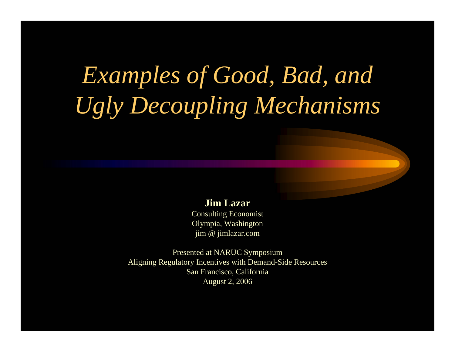# *Examples of Good, Bad, and Ugly Decoupling Mechanisms*

#### **Jim Lazar**

Consulting Economist Olympia, Washington jim @ jimlazar.co m

Present ed at NARUC Symposium Aligning Regulatory Incentives with Demand-Side Resources San Francisco, California August 2, 2006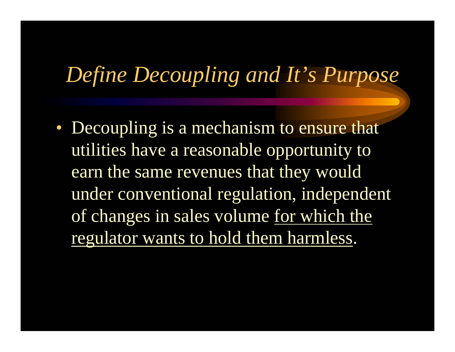## *Define Decoupling and It's Purpose*

• Decoupling is a mechanism to ensure that utilities have a reasonable opportunity to earn the same revenues that they would under conventional regulation, independent of changes in sales volume for which the regulator wants to hold them harmless.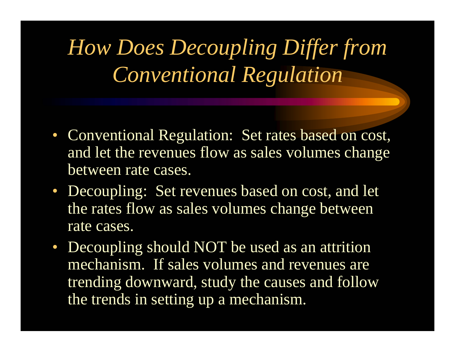*How Does Decoupling Differ from Conventional Regulation*

- Conventional Regulation: Set rates based on cost, and let the revenues flow as sales volumes change between rate cases.
- Decoupling: Set revenues based on cost, and let the rates flow as sales volumes change between rate cases.
- Decoupling should NOT be used as an attrition mechanism. If sales volumes and revenues are trending downward, study the causes and follow the trends in setting up a mechanism.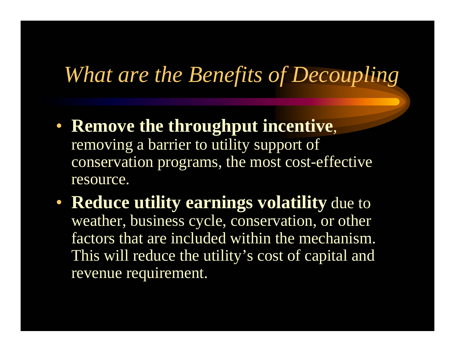## *What are the Benefits of Decoupling*

- **Remove the throughput incentive**, removing a barrier to utility support of conservation programs, the most cost-effective resource.
- **Reduce utility earnings volatility** due to weather, business cycle, conservation, or other factors that are included within the mechanism. This will reduce the utility's cost of capital and revenue requirement.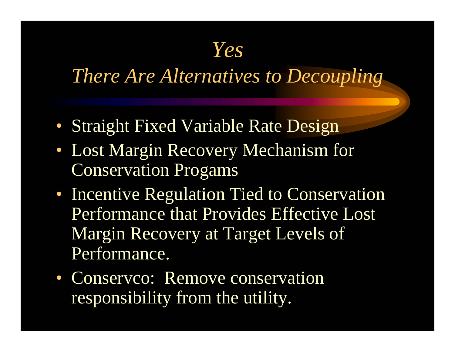### *Yes*

### *There Are Alternatives to Decoupling*

- Straight Fixed Variable Rate Design
- Lost Margin Recovery Mechanism for Conservation Progams
- Incentive Regulation Tied to Conservation Performance that Provides Effective Lost Margin Recovery at Target Levels of Performance.
- Conservco: Remove conservation responsibility from the utility.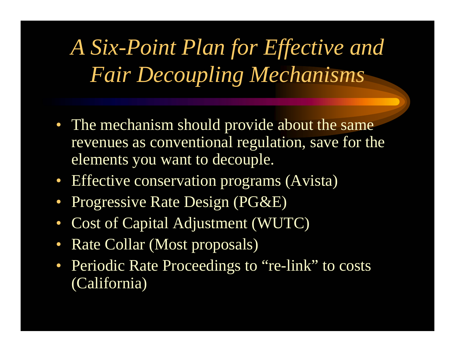*A Six-Point Plan for Effective and Fair Decoupling Mechanisms*

- The mechanism should provide about the same revenues as conventional regulation, save for the elements you want to decouple.
- Effective conservation programs (Avista)
- $\bullet$ Progressive Rate Design (PG&E)
- $\bullet$ Cost of Capital Adjustment (WUTC)
- $\bullet$ Rate Collar (Most proposals)
- Periodic Rate Proceedings to "re-link" to costs (California)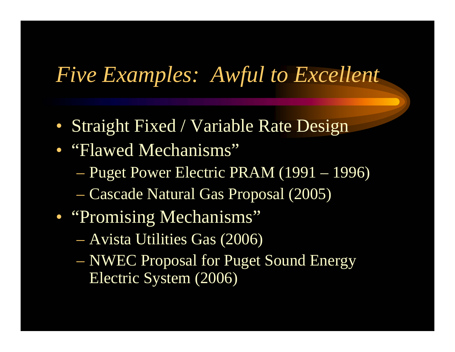### *Five Examples: Awful to Excellent*

- Straight Fixed / Variable Rate Design
- "Flawed Mechanisms"
	- Puget Power Electric PRAM (1991 1996)
	- Cascade Natural Gas Proposal (2005)
- "Promising Mechanisms"
	- Avista Utilities Gas (2006)
	- NWEC Proposal for Puget Sound Energy Electric System (2006)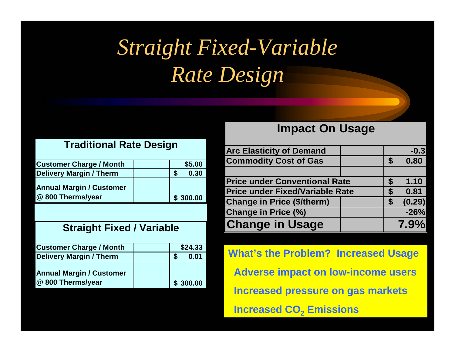## *Straight Fixed-Variable Rate Design*

#### **Tradi tional Rat e Design**

| <b>Customer Charge / Month</b>                       |  | \$5.00   |
|------------------------------------------------------|--|----------|
| <b>Delivery Margin / Therm</b>                       |  | 0.30     |
| <b>Annual Margin / Customer</b><br>@ 800 Therms/year |  | \$300.00 |

#### **Straight Fixed / Variable**

| <b>Customer Charge / Month</b>                       |  | \$24.33  |
|------------------------------------------------------|--|----------|
| <b>Delivery Margin / Therm</b>                       |  | 0.01     |
| <b>Annual Margin / Customer</b><br>@ 800 Therms/year |  | \$300.00 |

#### **lmpact On Usage**

| <b>Arc Elasticity of Demand</b>        |  |              | $-0.3$  |
|----------------------------------------|--|--------------|---------|
| <b>Commodity Cost of Gas</b>           |  | S            | 0.80    |
|                                        |  |              |         |
| <b>Price under Conventional Rate</b>   |  | S            | 1.10    |
| <b>Price under Fixed/Variable Rate</b> |  | S            | 0.81    |
| <b>Change in Price (\$/therm)</b>      |  | $\mathbf{s}$ | (0.29)  |
| <b>Change in Price (%)</b>             |  |              | $-26%$  |
| <b>Change in Usage</b>                 |  |              | $7.9\%$ |

**What's the Problem? Increased Usage Adverse impact on low-income users Increased pressure on gas markets Increased CO 2 Emissions**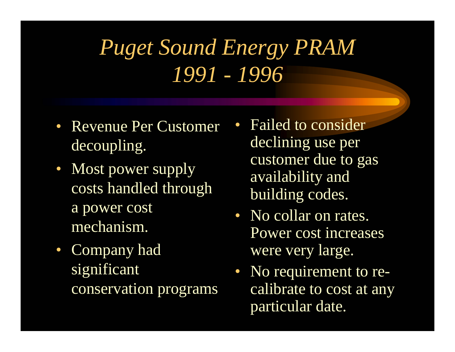## *Puget Sound Energy PRAM 1991 - 1996*

- Revenue Per Customer decoupling.
- Most power supply costs handled through a power cost mechanism.
- Company had significant conservation programs
- Failed to consider declining use per customer due to gas availability and building codes.
- No collar on rates. Power cost increases were very large.
- No requirement to recalibrate to cost at any particular date.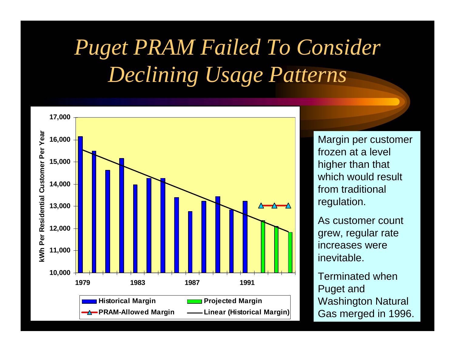## *Puget PRAM Failed To Consider Declining Usage Patterns*



Margin per customer frozen at a level higher than that which would result from traditional regulation.

As customer count grew, regular rate increases were inevitable.

Terminated when Puget and Washington Natural Gas merged in 1996.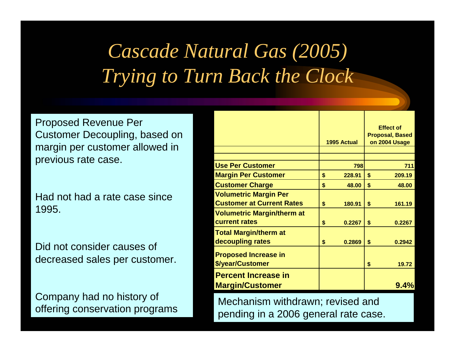## *Cascade Natural Gas (2005) Trying to Turn Back the Clock*

Proposed Revenue Per Customer Decoupling, based on margin per customer allowed in previous rate case.

Had not had a rate case since 1995.

Did not consider causes of decreased sales per customer.

Company had no history of offering conservation programs

|                                   | 1995 Actual  | <b>Effect of</b><br><b>Proposal, Based</b><br>on 2004 Usage |
|-----------------------------------|--------------|-------------------------------------------------------------|
|                                   |              |                                                             |
| <b>Use Per Customer</b>           | 798          | 711                                                         |
| <b>Margin Per Customer</b>        | \$<br>228.91 | \$<br>209.19                                                |
| <b>Customer Charge</b>            | \$<br>48.00  | \$<br>48.00                                                 |
| <b>Volumetric Margin Per</b>      |              |                                                             |
| <b>Customer at Current Rates</b>  | \$<br>180.91 | \$<br>161.19                                                |
| <b>Volumetric Margin/therm at</b> |              |                                                             |
| current rates                     | \$<br>0.2267 | \$<br>0.2267                                                |
| <b>Total Margin/therm at</b>      |              |                                                             |
| decoupling rates                  | \$<br>0.2869 | \$<br>0.2942                                                |
| <b>Proposed Increase in</b>       |              |                                                             |
| \$/year/Customer                  |              | \$<br>19.72                                                 |
| <b>Percent Increase in</b>        |              |                                                             |
| <b>Margin/Customer</b>            |              | $9.4\%$                                                     |

Mechanism withdrawn; revised and pending in a 2006 general rate case.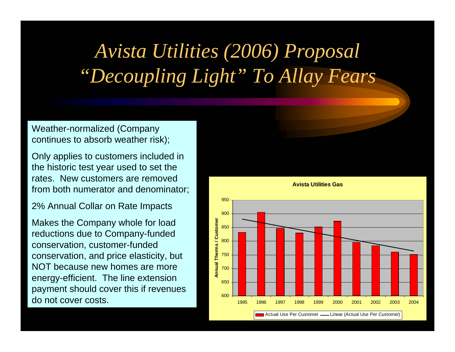## *Avista Utilities (2006) Proposal "Decoupling Light" To Allay Fears*

Weather-normalized (Company continues to absorb weather risk);

Only applies to customers included in the historic test year used to set the rates. New customers are removed from both numerator and denominator;

2% Annual Collar on Rate Impacts

Makes the Company whole for load reductions due to Company-funded conservation, customer-funded conservation, and price elasticity, but NOT because new homes are more energy-efficient. The line extension payment should cover this if revenues do not cover costs.

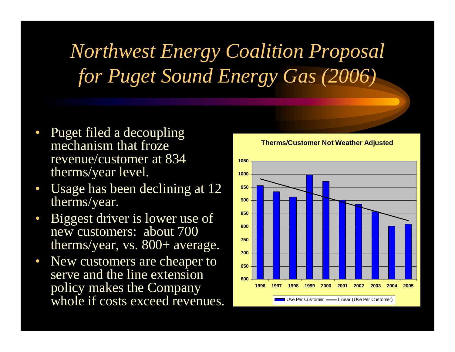## *Northwest Energy Coalition Proposal for Puget Sound Energy Gas (2006)*

- • Puget filed a decoupling mechanism that froze revenue/customer at 834 therms/year level.
- $\bullet$  Usage has been declining at 12 therms/year.
- • Biggest driver is lower use of new customers: about 700 therms/year, vs. 800+ average.
- $\bullet$  New customers are cheaper to serve and the line extension policy makes the Company whole if costs exceed revenues.

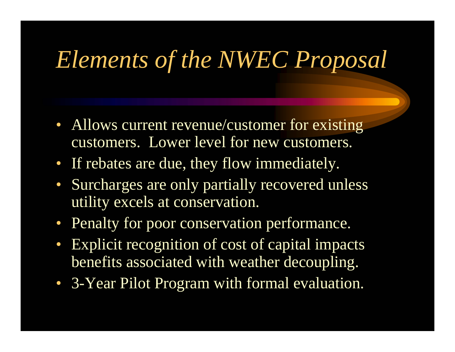# *Elements of the NWEC Proposal*

- Allows current revenue/customer for existing customers. Lower level for new customers.
- If rebates are due, they flow immediately.
- Surcharges are only partially recovered unless utility excels at conservation.
- Penalty for poor conservation performance.
- $\bullet$  Explicit recognition of cost of capital impacts benefits associated with weather decoupling.
- 3-Year Pilot Program with formal evaluation.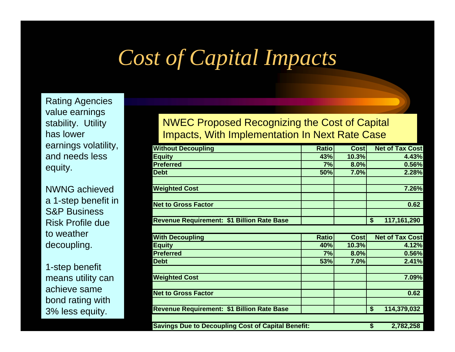## *Cost of Capital Impacts*

Rating Agencies value earnings stability. Utility has lowerearnings volatility, and needs less equity.

NWNG achieved a 1-step benefit in S&P BusinessRisk Profile due to weatherdecoupling.

1-step benefit means utility can achieve same bond rating with 3% less equity.

#### NWEC Proposed Recognizing the Cost of Capital Impacts, With Implementation In Next Rate Case

| <b>Without Decoupling</b>                                 | <b>Ratio</b> | <b>Cost</b> | <b>Net of Tax Cost</b> |
|-----------------------------------------------------------|--------------|-------------|------------------------|
| <b>Equity</b>                                             | 43%          | 10.3%       | 4.43%                  |
| <b>Preferred</b>                                          | 7%           | 8.0%        | 0.56%                  |
| <b>Debt</b>                                               | 50%          | 7.0%        | 2.28%                  |
| <b>Weighted Cost</b>                                      |              |             | 7.26%                  |
|                                                           |              |             |                        |
| <b>Net to Gross Factor</b>                                |              |             | 0.62                   |
| <b>Revenue Requirement: \$1 Billion Rate Base</b>         |              |             | \$<br>117,161,290      |
|                                                           |              |             |                        |
| <b>With Decoupling</b>                                    | <b>Ratio</b> | <b>Cost</b> | <b>Net of Tax Cost</b> |
| <b>Equity</b>                                             | 40%          | 10.3%       | 4.12%                  |
| <b>Preferred</b>                                          | 7%           | 8.0%        | 0.56%                  |
| <b>Debt</b>                                               | 53%          | 7.0%        | 2.41%                  |
| <b>Weighted Cost</b>                                      |              |             | 7.09%                  |
| <b>Net to Gross Factor</b>                                |              |             | 0.62                   |
| <b>Revenue Requirement: \$1 Billion Rate Base</b>         |              |             | \$<br>114,379,032      |
|                                                           |              |             |                        |
| <b>Savings Due to Decoupling Cost of Capital Benefit:</b> |              |             | \$<br>2,782,258        |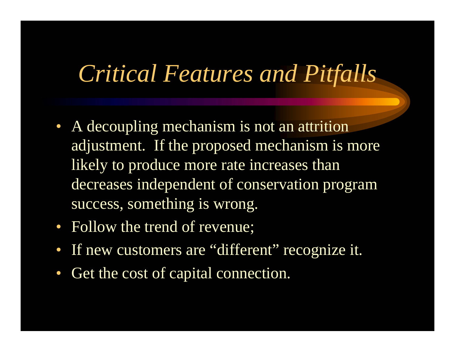## *Critical Features and Pitfalls*

- A decoupling mechanism is not an attrition adjustment. If the proposed mechanism is more likely to produce more rate increases than decreases independent of conservation program success, something is wrong.
- Follow the trend of revenue;
- If new customers are "different" recognize it.
- Get the cost of capital connection.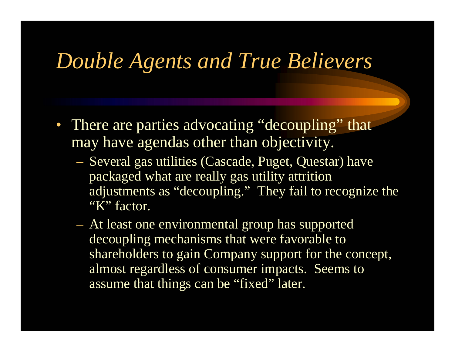### *Double Agents and True Believers*

- There are parties advocating "decoupling" that may have agendas other than objectivity.
	- Several gas utilities (Cascade, Puget, Questar) have packaged what are really gas utility attrition adjustments as "decoupling." They fail to recognize the "K" factor.
	- At least one environmental group has supported decoupling mechanisms that were favorable to shareholders to gain Company support for the concept, almost regardless of consumer impacts. Seems to assume that things can be "fixed" later.